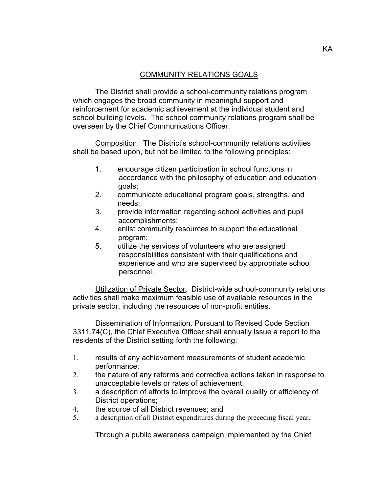## COMMUNITY RELATIONS GOALS

The District shall provide a school-community relations program which engages the broad community in meaningful support and reinforcement for academic achievement at the individual student and school building levels. The school community relations program shall be overseen by the Chief Communications Officer.

Composition. The District's school-community relations activities shall be based upon, but not be limited to the following principles:

- 1. encourage citizen participation in school functions in accordance with the philosophy of education and education goals;
- 2. communicate educational program goals, strengths, and needs;
- 3. provide information regarding school activities and pupil accomplishments;
- 4. enlist community resources to support the educational program;
- 5. utilize the services of volunteers who are assigned responsibilities consistent with their qualifications and experience and who are supervised by appropriate school personnel.

Utilization of Private Sector. District-wide school-community relations activities shall make maximum feasible use of available resources in the private sector, including the resources of non-profit entities.

Dissemination of Information. Pursuant to Revised Code Section 3311.74(C), the Chief Executive Officer shall annually issue a report to the residents of the District setting forth the following:

- 1. results of any achievement measurements of student academic performance;
- 2. the nature of any reforms and corrective actions taken in response to unacceptable levels or rates of achievement;
- 3. a description of efforts to improve the overall quality or efficiency of District operations;
- 4. the source of all District revenues; and
- 5. a description of all District expenditures during the preceding fiscal year.

Through a public awareness campaign implemented by the Chief